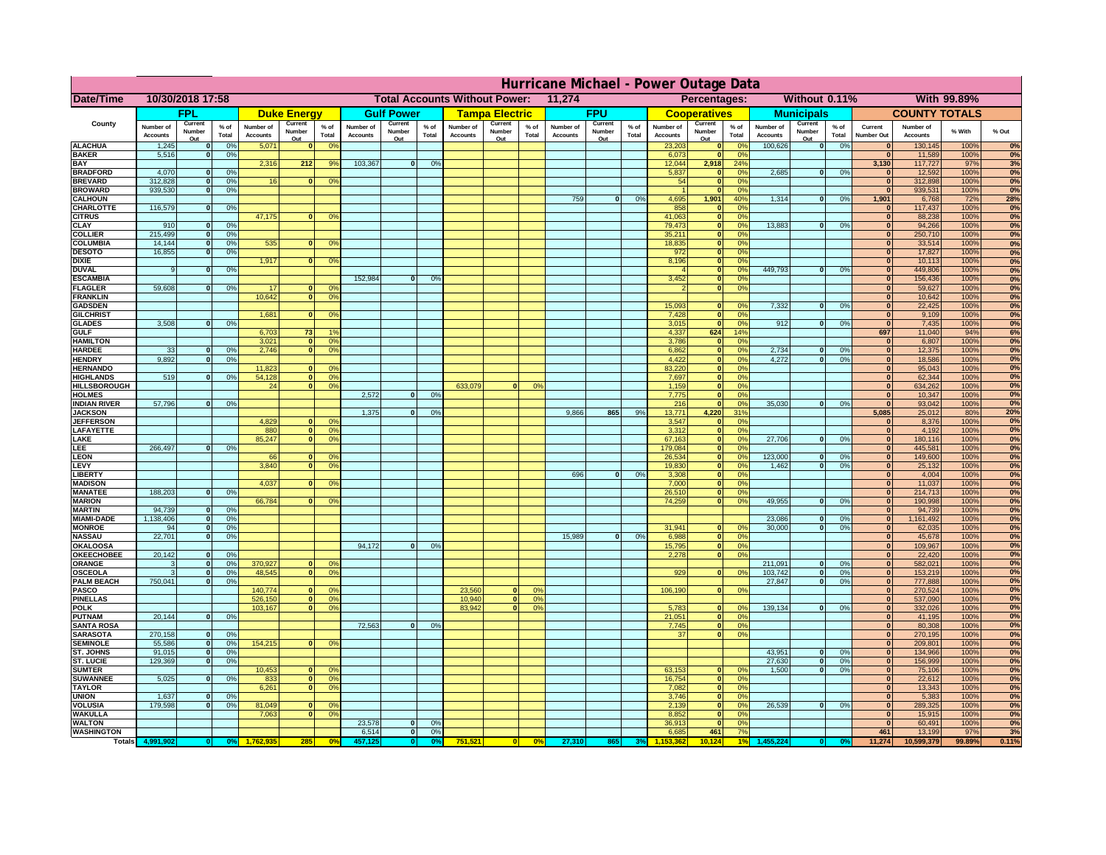|                                     | Hurricane Michael - Power Outage Data |                             |                 |                              |                     |                                                |                              |                   |                |                              |                       |                                              |                              |                   |                 |                              |                           |                      |                              |                         |                 |                              |                              |               |             |
|-------------------------------------|---------------------------------------|-----------------------------|-----------------|------------------------------|---------------------|------------------------------------------------|------------------------------|-------------------|----------------|------------------------------|-----------------------|----------------------------------------------|------------------------------|-------------------|-----------------|------------------------------|---------------------------|----------------------|------------------------------|-------------------------|-----------------|------------------------------|------------------------------|---------------|-------------|
| Date/Time                           | 10/30/2018 17:58                      |                             |                 |                              |                     | <b>Total Accounts Without Power:</b><br>11,274 |                              |                   |                |                              |                       | Without 0.11%<br>With 99.89%<br>Percentages: |                              |                   |                 |                              |                           |                      |                              |                         |                 |                              |                              |               |             |
|                                     |                                       | FPL                         |                 |                              | <b>Duke Energy</b>  |                                                |                              | <b>Gulf Power</b> |                |                              | <b>Tampa Electric</b> |                                              |                              | <b>FPU</b>        |                 |                              | <b>Cooperatives</b>       |                      |                              | <b>Municipals</b>       |                 |                              | <b>COUNTY TOTALS</b>         |               |             |
| County                              | Number of<br><b>Accounts</b>          | Current<br>Number           | $%$ of<br>Total | Number of<br><b>Accounts</b> | Current<br>Number   | $%$ of<br>Total                                | Number of<br><b>Accounts</b> | Current<br>Number | % of<br>Total  | Number of<br><b>Accounts</b> | Current<br>Number     | $%$ of<br>Total                              | Number of<br><b>Accounts</b> | Current<br>Number | $%$ of<br>Total | Number of<br><b>Accounts</b> | Current<br>Number         | $%$ of<br>Total      | Number of<br><b>Accounts</b> | Current<br>Number       | $%$ of<br>Total | Current<br><b>Number Out</b> | Number of<br><b>Accounts</b> | % With        | % Out       |
| <b>ALACHUA</b>                      | 1,245                                 | Out<br>$\mathbf{0}$         | 0%              | 5,071                        | Out<br>$\mathbf{0}$ | 0 <sup>9</sup>                                 |                              | Out               |                |                              | Out                   |                                              |                              | Out               |                 | 23,203                       | Out<br> 0                 | 0 <sup>9</sup>       | 100,626                      | Out<br> 0               | 0%              | $\bf{0}$                     | 130,145                      | 100%          | 0%          |
| <b>BAKER</b>                        | 5,516                                 | 0                           | 0%              |                              |                     |                                                |                              |                   |                |                              |                       |                                              |                              |                   |                 | 6,073                        | 0                         | 0%                   |                              |                         |                 | $\overline{0}$               | 11,589                       | 100%          | 0%          |
| <b>BAY</b><br><b>BRADFORD</b>       | 4,070                                 | $\mathbf{0}$                | 0%              | 2,316                        | 212                 | 9%                                             | 103,367                      | 0                 | 0%             |                              |                       |                                              |                              |                   |                 | 12,044<br>5,837              | 2,918                     | 24%<br>0%            | 2,685                        | 0                       | 0%              | 3,130<br>$\bf{0}$            | 117,727<br>12,592            | 97%<br>100%   | 3%<br>0%    |
| <b>BREVARD</b>                      | 312,828                               | 0                           | 0%              | 16                           | 0                   | 0 <sup>o</sup>                                 |                              |                   |                |                              |                       |                                              |                              |                   |                 | 54                           | 0 <br> 0                  | 0%                   |                              |                         |                 | 0                            | 312,898                      | 100%          | 0%          |
| <b>BROWARD</b>                      | 939.530                               | 0                           | 0%              |                              |                     |                                                |                              |                   |                |                              |                       |                                              |                              |                   |                 |                              | 0                         | 0%                   |                              |                         |                 | $\bf{0}$                     | 939,531                      | 100%          | 0%          |
| <b>CALHOUN</b>                      |                                       |                             |                 |                              |                     |                                                |                              |                   |                |                              |                       |                                              | 759                          | $\mathbf{0}$      | 0%              | 4,695                        | 1,901                     | 40%                  | 1,314                        | 0                       | 0%              | 1,901                        | 6,768                        | 72%           | 28%         |
| CHARLOTTE<br><b>CITRUS</b>          | 116,579                               | 0                           | 0%              | 47,175                       | $\mathbf{0}$        | 0 <sup>o</sup>                                 |                              |                   |                |                              |                       |                                              |                              |                   |                 | 858<br>41,063                | 0 <br> 0                  | 0%<br>0 <sup>9</sup> |                              |                         |                 | $\bf{0}$<br>$\bf{0}$         | 117,437<br>88,238            | 100%<br>100%  | 0%<br>0%    |
| <b>CLAY</b>                         | 910                                   | $\mathbf{0}$                | 0%              |                              |                     |                                                |                              |                   |                |                              |                       |                                              |                              |                   |                 | 79,473                       | 0                         | 0%                   | 13,883                       | $\mathbf{0}$            | 0%              | $\bf{0}$                     | 94,266                       | 100%          | 0%          |
| <b>COLLIER</b>                      | 215,499                               | $\mathbf{0}$                | 0 <sup>9</sup>  |                              |                     |                                                |                              |                   |                |                              |                       |                                              |                              |                   |                 | 35,211                       | 0                         | 0%                   |                              |                         |                 | $\bf{0}$                     | 250,710                      | 100%          | 0%          |
| <b>COLUMBIA</b><br><b>DESOTO</b>    | 14,144<br>16,855                      | $\mathbf 0$<br>$\mathbf{0}$ | 0%<br>0%        | 535                          | $\mathbf{0}$        | 0 <sup>9</sup>                                 |                              |                   |                |                              |                       |                                              |                              |                   |                 | 18,835<br>972                | 0 <br> 0                  | 0%<br>0%             |                              |                         |                 | $\bf{0}$<br>$\bf{0}$         | 33,514<br>17,827             | 100%<br>100%  | 0%<br>0%    |
| <b>DIXIE</b>                        |                                       |                             |                 | 1,917                        | $\Omega$            | 0 <sup>9</sup>                                 |                              |                   |                |                              |                       |                                              |                              |                   |                 | 8,196                        | 0                         | 0%                   |                              |                         |                 | $\Omega$                     | 10,113                       | 100%          | 0%          |
| <b>DUVAL</b>                        | 9                                     | $\Omega$                    | 0%              |                              |                     |                                                |                              |                   |                |                              |                       |                                              |                              |                   |                 |                              | 0                         | 0%                   | 449.793                      | $\overline{\mathbf{0}}$ | 0%              | $\Omega$                     | 449,806                      | 100%          | 0%          |
| <b>ESCAMBIA</b>                     |                                       |                             |                 |                              |                     |                                                | 152,984                      | $\mathbf{0}$      | 0 <sup>9</sup> |                              |                       |                                              |                              |                   |                 | 3,452                        | 0                         | 0%                   |                              |                         |                 | $\Omega$                     | 156,436                      | 100%          | 0%          |
| <b>FLAGLER</b><br><b>FRANKLIN</b>   | 59,608                                | $\overline{0}$              | 0%              | 17<br>10,642                 | $\bf{0}$<br> 0      | 0 <sup>o</sup><br>0 <sup>9</sup>               |                              |                   |                |                              |                       |                                              |                              |                   |                 |                              | 0                         | 0%                   |                              |                         |                 | $\bf{0}$<br>$\overline{0}$   | 59,627<br>10,642             | 100%<br>100%  | 0%<br>0%    |
| <b>GADSDEN</b>                      |                                       |                             |                 |                              |                     |                                                |                              |                   |                |                              |                       |                                              |                              |                   |                 | 15,093                       | $\mathbf{0}$              | 0%                   | 7,332                        | 0                       | 0%              | $\overline{0}$               | 22,425                       | 100%          | 0%          |
| <b>GILCHRIST</b>                    |                                       |                             |                 | 1,681                        | $\Omega$            | 0 <sup>9</sup>                                 |                              |                   |                |                              |                       |                                              |                              |                   |                 | 7,428                        | 0                         | 0%                   |                              |                         |                 | $\overline{0}$               | 9,109                        | 100%          | 0%          |
| <b>GLADES</b><br><b>GULF</b>        | 3,508                                 | 0                           | 0%              | 6,703                        | 73                  | 1 <sup>c</sup>                                 |                              |                   |                |                              |                       |                                              |                              |                   |                 | 3,015<br>4,337               | 0 <br>624                 | 0%<br>14%            | 912                          | $\overline{0}$          | 0%              | 0 <br>697                    | 7,435<br>11,040              | 100%<br>94%   | 0%<br>6%    |
| <b>HAMILTON</b>                     |                                       |                             |                 | 3,021                        | $\overline{0}$      | 0 <sup>9</sup>                                 |                              |                   |                |                              |                       |                                              |                              |                   |                 | 3,786                        | 0                         | 0%                   |                              |                         |                 | 0                            | 6,807                        | 100%          | 0%          |
| <b>HARDEE</b>                       | 33                                    | $\overline{0}$              | 0%              | 2.746                        | 0                   | 0 <sup>9</sup>                                 |                              |                   |                |                              |                       |                                              |                              |                   |                 | 6.862                        | 0                         | 0%                   | 2.734                        | $\mathbf{0}$            | 0%              | 0                            | 12,375                       | 100%          | 0%          |
| <b>HENDRY</b>                       | 9,892                                 | $\Omega$                    | 0%              |                              |                     |                                                |                              |                   |                |                              |                       |                                              |                              |                   |                 | 4,422                        | 0                         | 0%                   | 4,272                        | $\Omega$                | 0%              | 0                            | 18,586                       | 100%          | 0%          |
| <b>HERNANDO</b><br><b>HIGHLANDS</b> | 519                                   | $\mathbf{0}$                | 0 <sup>9</sup>  | 11,823<br>54,128             | $\mathbf{0}$<br> 0  | 0 <sup>9</sup><br>0 <sup>9</sup>               |                              |                   |                |                              |                       |                                              |                              |                   |                 | 83,220<br>7,697              | 0 <br> 0                  | 0%<br>0%             |                              |                         |                 | 0 <br> 0                     | 95,043<br>62,344             | 100%<br>100%  | 0%<br>0%    |
| <b>HILLSBOROUGH</b>                 |                                       |                             |                 | 24                           | 0                   | 0 <sup>9</sup>                                 |                              |                   |                | 633,079                      |                       | 0%                                           |                              |                   |                 | 1,159                        | 0                         | 0%                   |                              |                         |                 | 0                            | 634,262                      | 100%          | 0%          |
| <b>HOLMES</b>                       |                                       |                             |                 |                              |                     |                                                | 2.572                        | $\mathbf{0}$      | 0%             |                              |                       |                                              |                              |                   |                 | 7,775                        | 0                         | 0%                   |                              |                         |                 | 0                            | 10,347                       | 100%          | 0%          |
| <b>INDIAN RIVER</b>                 | 57,796                                | $\mathbf{0}$                | 0%              |                              |                     |                                                | 1.375                        |                   |                |                              |                       |                                              | 9.866                        |                   | 9%              | 216<br>13.771                | 0 <br>4.220               | 0%<br>31%            | 35,030                       | $\mathbf{0}$            | 0%              | 0 <br>5.085                  | 93,042                       | 100%          | 0%          |
| <b>JACKSON</b><br><b>JEFFERSON</b>  |                                       |                             |                 | 4.829                        | n l                 | 0 <sup>9</sup>                                 |                              | $\mathbf{0}$      | 0 <sup>9</sup> |                              |                       |                                              |                              | 865               |                 | 3.547                        | 0                         | 0%                   |                              |                         |                 | 0                            | 25,012<br>8.376              | 80%<br>100%   | 20%<br>0%   |
| LAFAYETTE                           |                                       |                             |                 | 880                          | 0                   | 0 <sup>9</sup>                                 |                              |                   |                |                              |                       |                                              |                              |                   |                 | 3.312                        | 0                         | 0%                   |                              |                         |                 | 0                            | 4,192                        | 100%          | 0%          |
| LAKE                                |                                       |                             |                 | 85,247                       | $\mathbf{0}$        | 0 <sup>9</sup>                                 |                              |                   |                |                              |                       |                                              |                              |                   |                 | 67,163                       | 0                         | 0%                   | 27,706                       | $\Omega$                | 0%              | 0                            | 180,116                      | 100%          | 0%          |
| .EE<br>LEON                         | 266,497                               | $\Omega$                    | 0%              | 66                           | $\mathbf{0}$        | 0 <sup>o</sup>                                 |                              |                   |                |                              |                       |                                              |                              |                   |                 | 179,084<br>26,534            | 0 <br> 0                  | 0%<br>0%             | 123,000                      | $\mathbf{0}$            | 0%              | 0 <br> 0                     | 445,581<br>149,600           | 100%<br>100%  | 0%<br>0%    |
| LEVY                                |                                       |                             |                 | 3,840                        | $\Omega$            | 0 <sup>9</sup>                                 |                              |                   |                |                              |                       |                                              |                              |                   |                 | 19,830                       | 0                         | 0%                   | 1,462                        | 0                       | 0%              | 0                            | 25,132                       | 100%          | 0%          |
| LIBERTY                             |                                       |                             |                 |                              |                     |                                                |                              |                   |                |                              |                       |                                              | 696                          | $\Omega$          | 0%              | 3,308                        | 0                         | 0%                   |                              |                         |                 | 0                            | 4,004                        | 100%          | 0%          |
| <b>MADISON</b><br><b>MANATEE</b>    | 188,203                               | 0                           | 0%              | 4,037                        | $\Omega$            | 0 <sup>9</sup>                                 |                              |                   |                |                              |                       |                                              |                              |                   |                 | 7,000<br>26,510              | 0 <br> 0                  | 0%<br>0%             |                              |                         |                 | 0 <br> 0                     | 11,037<br>214,713            | 100%<br>100%  | 0%<br>0%    |
| <b>MARION</b>                       |                                       |                             |                 | 66,784                       | $\Omega$            | 0 <sup>9</sup>                                 |                              |                   |                |                              |                       |                                              |                              |                   |                 | 74,259                       | 0                         | 0%                   | 49,955                       | $\Omega$                | 0%              | 0                            | 190,998                      | 100%          | 0%          |
| <b>MARTIN</b>                       | 94,739                                | 0                           | 0%              |                              |                     |                                                |                              |                   |                |                              |                       |                                              |                              |                   |                 |                              |                           |                      |                              |                         |                 | 0                            | 94,739                       | 100%          | 0%          |
| <b>MIAMI-DADE</b>                   | 1,138,406                             | 0                           | 0%              |                              |                     |                                                |                              |                   |                |                              |                       |                                              |                              |                   |                 |                              |                           |                      | 23,086                       | $\mathbf{0}$            | 0%              | 0                            | 1,161,492                    | 100%          | 0%          |
| <b>MONROE</b><br><b>NASSAU</b>      | 94<br>22,701                          | 0 <br> 0                    | 0%<br>0%        |                              |                     |                                                |                              |                   |                |                              |                       |                                              | 15,989                       | 0                 | 0%              | 31,941<br>6,988              | $\overline{0}$<br> 0      | 0 <sup>9</sup><br>0% | 30,000                       | 0                       | 0%              | 0 <br> 0                     | 62,035<br>45,678             | 100%<br>100%  | 0%<br>0%    |
| <b>OKALOOSA</b>                     |                                       |                             |                 |                              |                     |                                                | 94,172                       | $\mathbf{0}$      | 0%             |                              |                       |                                              |                              |                   |                 | 15,795                       | 0                         | 0%                   |                              |                         |                 | 0                            | 109,967                      | 100%          | 0%          |
| <b>OKEECHOBEE</b>                   | 20,142                                | 0                           | 0%              |                              |                     |                                                |                              |                   |                |                              |                       |                                              |                              |                   |                 | 2,278                        | 0                         | 0%                   |                              |                         |                 | 0                            | 22,420                       | 100%          | 0%          |
| ORANGE                              | 3                                     | 0                           | 0%<br>0%        | 370,927<br>48,545            |                     | 0 <br>0 <sup>o</sup><br>0 <sup>9</sup>         |                              |                   |                |                              |                       |                                              |                              |                   |                 | 929                          | 0                         | 0%                   | 211,091<br>103,742           | $\mathbf{0}$<br> 0      | 0%              | 0                            | 582,021                      | 100%          | 0%          |
| <b>OSCEOLA</b><br><b>PALM BEACH</b> | 3<br>750,041                          | 0 <br> 0                    | 0%              |                              |                     | 0                                              |                              |                   |                |                              |                       |                                              |                              |                   |                 |                              |                           |                      | 27,847                       | $\overline{\mathbf{0}}$ | 0%<br>0%        | 0 <br> 0                     | 153,219<br>777,888           | 100%<br>100%  | 0%<br>0%    |
| PASCO                               |                                       |                             |                 | 140,774                      | $\Omega$            | 0 <sup>9</sup>                                 |                              |                   |                | 23,560                       | $\Omega$              | $^{\circ}$                                   |                              |                   |                 | 106,190                      | 0                         | 0%                   |                              |                         |                 | 0                            | 270,524                      | 100%          | 0%          |
| <b>PINELLAS</b>                     |                                       |                             |                 | 526,150                      |                     | 0 <sup>9</sup><br> 0                           |                              |                   |                | 10,940                       | 0                     | 0%                                           |                              |                   |                 |                              |                           |                      |                              |                         |                 | $\mathbf{0}$                 | 537,090                      | 100%          | 0%          |
| <b>POLK</b><br><b>PUTNAM</b>        | 20,144                                | 0                           | 0%              | 103,167                      |                     | 0 <sup>9</sup><br> 0                           |                              |                   |                | 83,942                       | $\mathbf{a}$          | 0%                                           |                              |                   |                 | 5,783<br>21,051              | 0 <br>$\ddot{\textbf{0}}$ | $\Omega$<br>0%       | 139,134                      | 0                       | 0%              | 0 <br>$\bf{0}$               | 332,026<br>41,195            | 100%<br>100%  | 0%<br>0%    |
| <b>SANTA ROSA</b>                   |                                       |                             |                 |                              |                     |                                                | 72,563                       | 0                 | 0%             |                              |                       |                                              |                              |                   |                 | 7,745                        | 0                         | 0%                   |                              |                         |                 | $\mathbf{0}$                 | 80,308                       | 100%          | 0%          |
| <b>SARASOTA</b>                     | 270,158                               | 0                           | 0%              |                              |                     |                                                |                              |                   |                |                              |                       |                                              |                              |                   |                 | 37                           | 0                         | 0%                   |                              |                         |                 | 0                            | 270,195                      | 100%          | 0%          |
| <b>SEMINOLE</b>                     | 55,586                                | 0                           | 0%              | 154,215                      |                     | $\mathbf{0}$<br>0 <sup>9</sup>                 |                              |                   |                |                              |                       |                                              |                              |                   |                 |                              |                           |                      |                              |                         |                 | 0                            | 209,801                      | 100%          | 0%          |
| ST. JOHNS<br><b>ST. LUCIE</b>       | 91,015<br>129.369                     | 0 <br>$\overline{0}$        | 0%<br>0%        |                              |                     |                                                |                              |                   |                |                              |                       |                                              |                              |                   |                 |                              |                           |                      | 43,951<br>27.630             | -ol<br>- O I            | 0%<br>0%        | 0 <br> 0                     | 134,966<br>156,999           | 100%<br>100%  | 0%<br>0%    |
| <b>SUMTER</b>                       |                                       |                             |                 | 10,453                       | 0                   | 0 <sup>9</sup>                                 |                              |                   |                |                              |                       |                                              |                              |                   |                 | 63,153                       | 0                         | 0%                   | 1.500                        | 0                       | 0%              | 0                            | 75,106                       | 100%          | 0%          |
| <b>SUWANNEE</b>                     | 5,025                                 | 0                           | 0%              | 833                          | 0                   | 0 <sup>o</sup>                                 |                              |                   |                |                              |                       |                                              |                              |                   |                 | 16,754                       | 0                         | 0%                   |                              |                         |                 | $\mathbf{0}$                 | 22,612                       | 100%          | 0%          |
| <b>TAYLOR</b><br><b>UNION</b>       |                                       |                             | 0%              | 6,261                        | 0                   | 0 <sup>9</sup>                                 |                              |                   |                |                              |                       |                                              |                              |                   |                 | 7,082                        | 0                         | 0%<br>0%             |                              |                         |                 | $\bf{0}$<br>$\bf{0}$         | 13,343                       | 100%<br>100%  | 0%<br>0%    |
| <b>VOLUSIA</b>                      | 1,637<br>179,598                      | $\mathbf{0}$<br>0           | 0%              | 81,049                       | $\mathbf{0}$        | $\mathbf{0}$                                   |                              |                   |                |                              |                       |                                              |                              |                   |                 | 3,746<br>2,139               | 0 <br> 0                  | 0%                   | 26,539                       | 0                       | 0%              | $\bf{0}$                     | 5,383<br>289,325             | 100%          | 0%          |
| <b>WAKULLA</b>                      |                                       |                             |                 | 7,063                        | $\mathbf{0}$        | 0 <sup>9</sup>                                 |                              |                   |                |                              |                       |                                              |                              |                   |                 | 8,852                        | 0                         | 0%                   |                              |                         |                 | $\mathbf{0}$                 | 15,915                       | 100%          | 0%          |
| <b>WALTON</b>                       |                                       |                             |                 |                              |                     |                                                | 23,578                       | $\mathbf{0}$      | 0%             |                              |                       |                                              |                              |                   |                 | 36,913                       | 0                         | 0%                   |                              |                         |                 | 0                            | 60,491                       | 100%          | 0%          |
| <b>WASHINGTON</b><br><b>Totals</b>  |                                       |                             |                 |                              | 285                 | 0 <sup>6</sup>                                 | 6,514                        | 0 <br>$\bullet$   | 0%             | 751,521                      | 0                     | 0%                                           | 27,310                       | 865               |                 | 6,685                        | 461<br>10.124             | 7%<br>1 <sup>°</sup> |                              |                         |                 | 461<br>11,274                | 13,199<br>10,599,379         | 97%<br>99.89% | 3%<br>0.11% |
|                                     |                                       |                             |                 |                              |                     |                                                |                              |                   |                |                              |                       |                                              |                              |                   |                 |                              |                           |                      |                              |                         |                 |                              |                              |               |             |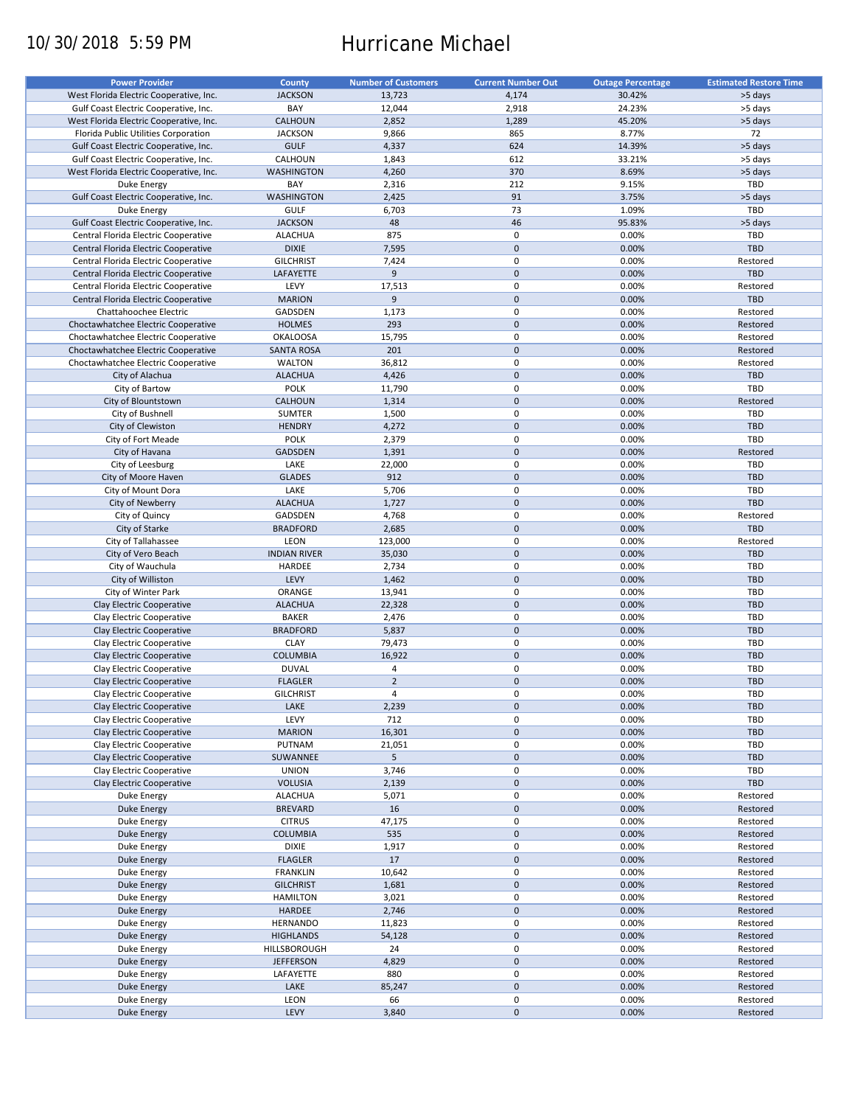# 10/30/2018 5:59 PM Hurricane Michael

| <b>Power Provider</b>                   | <b>County</b>       | <b>Number of Customers</b> | <b>Current Number Out</b> | <b>Outage Percentage</b> | <b>Estimated Restore Time</b> |
|-----------------------------------------|---------------------|----------------------------|---------------------------|--------------------------|-------------------------------|
| West Florida Electric Cooperative, Inc. | <b>JACKSON</b>      | 13,723                     | 4,174                     | 30.42%                   | >5 days                       |
|                                         | BAY                 | 12,044                     | 2,918                     | 24.23%                   | >5 days                       |
| Gulf Coast Electric Cooperative, Inc.   |                     |                            |                           |                          |                               |
| West Florida Electric Cooperative, Inc. | CALHOUN             | 2,852                      | 1,289                     | 45.20%                   | >5 days                       |
| Florida Public Utilities Corporation    | <b>JACKSON</b>      | 9,866                      | 865                       | 8.77%                    | 72                            |
| Gulf Coast Electric Cooperative, Inc.   | <b>GULF</b>         | 4,337                      | 624                       | 14.39%                   | >5 days                       |
| Gulf Coast Electric Cooperative, Inc.   | CALHOUN             | 1,843                      | 612                       | 33.21%                   | >5 days                       |
| West Florida Electric Cooperative, Inc. | <b>WASHINGTON</b>   | 4,260                      | 370                       | 8.69%                    | >5 days                       |
| Duke Energy                             | BAY                 | 2,316                      | 212                       | 9.15%                    | TBD                           |
| Gulf Coast Electric Cooperative, Inc.   | <b>WASHINGTON</b>   | 2,425                      | 91                        | 3.75%                    | >5 days                       |
| Duke Energy                             | <b>GULF</b>         | 6,703                      | 73                        | 1.09%                    | TBD                           |
|                                         |                     | 48                         | 46                        |                          |                               |
| Gulf Coast Electric Cooperative, Inc.   | <b>JACKSON</b>      |                            |                           | 95.83%                   | >5 days                       |
| Central Florida Electric Cooperative    | <b>ALACHUA</b>      | 875                        | 0                         | 0.00%                    | TBD                           |
| Central Florida Electric Cooperative    | <b>DIXIE</b>        | 7,595                      | $\mathbf 0$               | 0.00%                    | <b>TBD</b>                    |
| Central Florida Electric Cooperative    | <b>GILCHRIST</b>    | 7,424                      | 0                         | 0.00%                    | Restored                      |
| Central Florida Electric Cooperative    | LAFAYETTE           | 9                          | $\mathbf 0$               | 0.00%                    | <b>TBD</b>                    |
| Central Florida Electric Cooperative    | LEVY                | 17,513                     | $\pmb{0}$                 | 0.00%                    | Restored                      |
| Central Florida Electric Cooperative    | <b>MARION</b>       | $\overline{9}$             | $\mathbf 0$               | 0.00%                    | TBD                           |
| Chattahoochee Electric                  | GADSDEN             | 1,173                      | $\pmb{0}$                 | 0.00%                    | Restored                      |
|                                         |                     |                            |                           |                          |                               |
| Choctawhatchee Electric Cooperative     | <b>HOLMES</b>       | 293                        | $\mathbf 0$               | 0.00%                    | Restored                      |
| Choctawhatchee Electric Cooperative     | <b>OKALOOSA</b>     | 15,795                     | $\pmb{0}$                 | 0.00%                    | Restored                      |
| Choctawhatchee Electric Cooperative     | <b>SANTA ROSA</b>   | 201                        | $\mathbf 0$               | 0.00%                    | Restored                      |
| Choctawhatchee Electric Cooperative     | <b>WALTON</b>       | 36,812                     | $\pmb{0}$                 | 0.00%                    | Restored                      |
| City of Alachua                         | <b>ALACHUA</b>      | 4,426                      | $\mathbf 0$               | 0.00%                    | <b>TBD</b>                    |
| City of Bartow                          | <b>POLK</b>         | 11,790                     | $\pmb{0}$                 | 0.00%                    | TBD                           |
| City of Blountstown                     | CALHOUN             | 1,314                      | $\mathbf 0$               | 0.00%                    | Restored                      |
|                                         |                     |                            |                           |                          |                               |
| City of Bushnell                        | <b>SUMTER</b>       | 1,500                      | $\pmb{0}$                 | 0.00%                    | TBD                           |
| City of Clewiston                       | <b>HENDRY</b>       | 4,272                      | $\mathbf 0$               | 0.00%                    | <b>TBD</b>                    |
| City of Fort Meade                      | <b>POLK</b>         | 2,379                      | $\pmb{0}$                 | 0.00%                    | TBD                           |
| City of Havana                          | <b>GADSDEN</b>      | 1,391                      | $\pmb{0}$                 | 0.00%                    | Restored                      |
| City of Leesburg                        | LAKE                | 22,000                     | $\mathbf 0$               | 0.00%                    | TBD                           |
| City of Moore Haven                     | <b>GLADES</b>       | 912                        | $\mathbf 0$               | 0.00%                    | <b>TBD</b>                    |
| City of Mount Dora                      | LAKE                | 5,706                      | 0                         | 0.00%                    | TBD                           |
|                                         |                     |                            |                           |                          |                               |
| City of Newberry                        | <b>ALACHUA</b>      | 1,727                      | $\mathbf 0$               | 0.00%                    | <b>TBD</b>                    |
| City of Quincy                          | GADSDEN             | 4,768                      | $\pmb{0}$                 | 0.00%                    | Restored                      |
| City of Starke                          | <b>BRADFORD</b>     | 2,685                      | $\mathbf 0$               | 0.00%                    | <b>TBD</b>                    |
| City of Tallahassee                     | LEON                | 123,000                    | 0                         | 0.00%                    | Restored                      |
| City of Vero Beach                      | <b>INDIAN RIVER</b> | 35,030                     | $\mathbf 0$               | 0.00%                    | <b>TBD</b>                    |
| City of Wauchula                        | HARDEE              | 2,734                      | $\pmb{0}$                 | 0.00%                    | TBD                           |
| City of Williston                       | LEVY                | 1,462                      | $\pmb{0}$                 | 0.00%                    | <b>TBD</b>                    |
| City of Winter Park                     | ORANGE              | 13,941                     | 0                         | 0.00%                    | TBD                           |
|                                         |                     |                            |                           |                          |                               |
| Clay Electric Cooperative               | <b>ALACHUA</b>      | 22,328                     | $\mathbf 0$               | 0.00%                    | <b>TBD</b>                    |
| Clay Electric Cooperative               | <b>BAKER</b>        | 2,476                      | $\pmb{0}$                 | 0.00%                    | TBD                           |
| Clay Electric Cooperative               | <b>BRADFORD</b>     | 5,837                      | $\mathbf 0$               | 0.00%                    | <b>TBD</b>                    |
| Clay Electric Cooperative               | <b>CLAY</b>         | 79,473                     | 0                         | 0.00%                    | TBD                           |
| Clay Electric Cooperative               | <b>COLUMBIA</b>     | 16,922                     | $\mathbf 0$               | 0.00%                    | <b>TBD</b>                    |
| Clay Electric Cooperative               | <b>DUVAL</b>        | $\overline{4}$             | $\pmb{0}$                 | 0.00%                    | TBD                           |
| Clay Electric Cooperative               | <b>FLAGLER</b>      | $\overline{2}$             | $\mathbf 0$               | 0.00%                    | <b>TBD</b>                    |
|                                         |                     |                            |                           |                          |                               |
| Clay Electric Cooperative               | <b>GILCHRIST</b>    | $\overline{4}$             | $\mathbf 0$               | 0.00%                    | TBD                           |
| Clay Electric Cooperative               | LAKE                | 2,239                      | $\mathsf{O}\xspace$       | 0.00%                    | <b>TBD</b>                    |
| Clay Electric Cooperative               | LEVY                | 712                        | $\pmb{0}$                 | 0.00%                    | TBD                           |
| Clay Electric Cooperative               | <b>MARION</b>       | 16,301                     | $\pmb{0}$                 | 0.00%                    | <b>TBD</b>                    |
| Clay Electric Cooperative               | PUTNAM              | 21,051                     | 0                         | 0.00%                    | TBD                           |
| Clay Electric Cooperative               | SUWANNEE            | $5\overline{)}$            | $\pmb{0}$                 | 0.00%                    | <b>TBD</b>                    |
| Clay Electric Cooperative               | <b>UNION</b>        | 3,746                      | 0                         | 0.00%                    | TBD                           |
|                                         |                     |                            |                           |                          |                               |
| Clay Electric Cooperative               | <b>VOLUSIA</b>      | 2,139                      | $\pmb{0}$                 | 0.00%                    | <b>TBD</b>                    |
| Duke Energy                             | <b>ALACHUA</b>      | 5,071                      | $\pmb{0}$                 | 0.00%                    | Restored                      |
| <b>Duke Energy</b>                      | <b>BREVARD</b>      | 16                         | $\pmb{0}$                 | 0.00%                    | Restored                      |
| Duke Energy                             | <b>CITRUS</b>       | 47,175                     | $\pmb{0}$                 | 0.00%                    | Restored                      |
| Duke Energy                             | <b>COLUMBIA</b>     | 535                        | $\pmb{0}$                 | 0.00%                    | Restored                      |
| Duke Energy                             | <b>DIXIE</b>        | 1,917                      | 0                         | 0.00%                    | Restored                      |
|                                         |                     | 17                         | $\mathsf{O}\xspace$       | 0.00%                    | Restored                      |
| Duke Energy                             | <b>FLAGLER</b>      |                            |                           |                          |                               |
| Duke Energy                             | <b>FRANKLIN</b>     | 10,642                     | $\pmb{0}$                 | 0.00%                    | Restored                      |
| <b>Duke Energy</b>                      | <b>GILCHRIST</b>    | 1,681                      | $\pmb{0}$                 | 0.00%                    | Restored                      |
| Duke Energy                             | <b>HAMILTON</b>     | 3,021                      | 0                         | 0.00%                    | Restored                      |
| <b>Duke Energy</b>                      | HARDEE              | 2,746                      | $\pmb{0}$                 | 0.00%                    | Restored                      |
| Duke Energy                             | <b>HERNANDO</b>     | 11,823                     | $\pmb{0}$                 | 0.00%                    | Restored                      |
| <b>Duke Energy</b>                      | <b>HIGHLANDS</b>    | 54,128                     | $\pmb{0}$                 | 0.00%                    | Restored                      |
|                                         |                     | 24                         | $\pmb{0}$                 | 0.00%                    | Restored                      |
| Duke Energy                             | HILLSBOROUGH        |                            |                           |                          |                               |
| <b>Duke Energy</b>                      | <b>JEFFERSON</b>    | 4,829                      | $\pmb{0}$                 | 0.00%                    | Restored                      |
| Duke Energy                             | LAFAYETTE           | 880                        | $\pmb{0}$                 | 0.00%                    | Restored                      |
| <b>Duke Energy</b>                      | LAKE                | 85,247                     | $\pmb{0}$                 | 0.00%                    | Restored                      |
| Duke Energy                             | LEON                | 66                         | $\pmb{0}$                 | 0.00%                    | Restored                      |
| Duke Energy                             | LEVY                | 3,840                      | $\pmb{0}$                 | 0.00%                    | Restored                      |
|                                         |                     |                            |                           |                          |                               |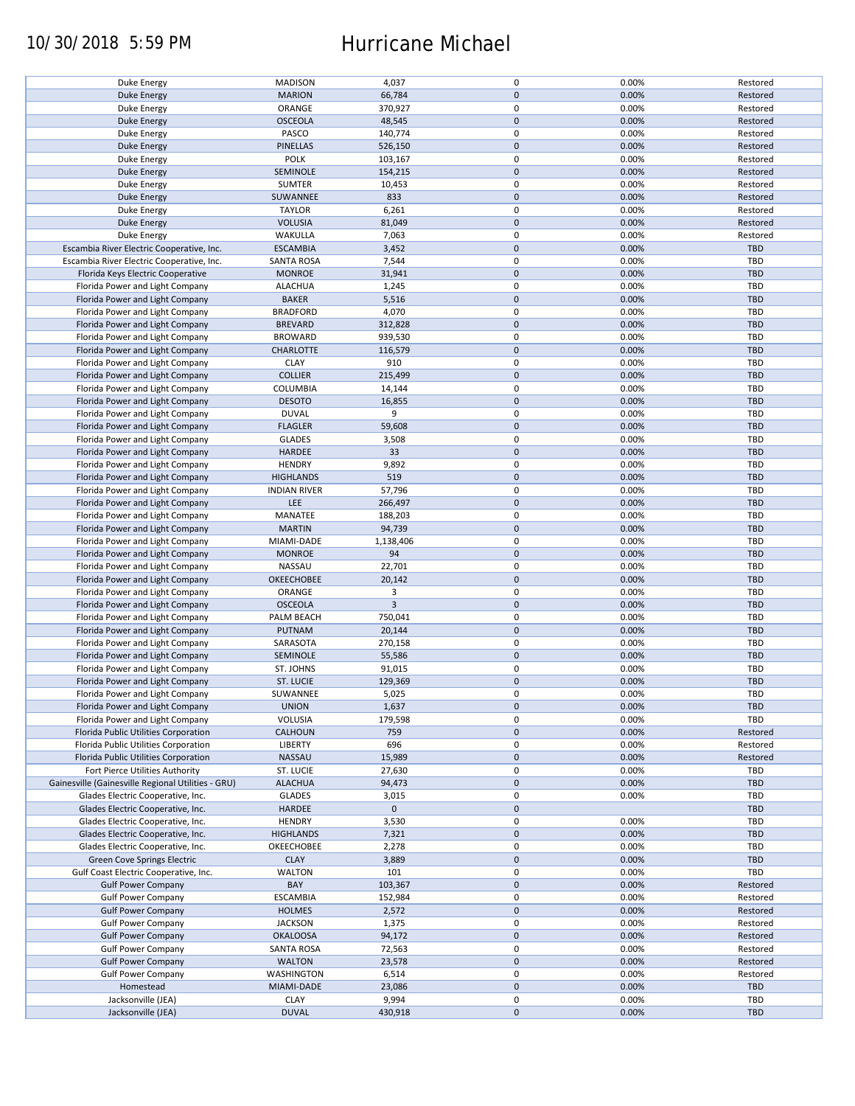## 10/30/2018 5:59 PM Hurricane Michael

| Duke Energy                                        | <b>MADISON</b>      | 4,037          | 0           | 0.00% | Restored   |
|----------------------------------------------------|---------------------|----------------|-------------|-------|------------|
| <b>Duke Energy</b>                                 | <b>MARION</b>       | 66,784         | $\mathbf 0$ | 0.00% | Restored   |
|                                                    |                     |                |             |       |            |
| Duke Energy                                        | ORANGE              | 370,927        | 0           | 0.00% | Restored   |
| Duke Energy                                        | <b>OSCEOLA</b>      | 48,545         | $\mathbf 0$ | 0.00% | Restored   |
| Duke Energy                                        | PASCO               | 140,774        | 0           | 0.00% | Restored   |
|                                                    |                     |                |             |       |            |
| Duke Energy                                        | PINELLAS            | 526,150        | $\mathbf 0$ | 0.00% | Restored   |
| Duke Energy                                        | <b>POLK</b>         | 103,167        | $\mathbf 0$ | 0.00% | Restored   |
| Duke Energy                                        | SEMINOLE            | 154,215        | $\mathbf 0$ | 0.00% | Restored   |
|                                                    |                     |                |             |       |            |
| Duke Energy                                        | <b>SUMTER</b>       | 10,453         | 0           | 0.00% | Restored   |
| <b>Duke Energy</b>                                 | SUWANNEE            | 833            | $\mathbf 0$ | 0.00% | Restored   |
| Duke Energy                                        | <b>TAYLOR</b>       | 6,261          | 0           | 0.00% | Restored   |
|                                                    |                     |                |             |       |            |
| <b>Duke Energy</b>                                 | <b>VOLUSIA</b>      | 81,049         | $\mathbf 0$ | 0.00% | Restored   |
| Duke Energy                                        | WAKULLA             | 7,063          | 0           | 0.00% | Restored   |
| Escambia River Electric Cooperative, Inc.          | <b>ESCAMBIA</b>     | 3,452          | $\mathbf 0$ | 0.00% | <b>TBD</b> |
|                                                    |                     |                |             |       |            |
| Escambia River Electric Cooperative, Inc.          | <b>SANTA ROSA</b>   | 7,544          | $\mathbf 0$ | 0.00% | <b>TBD</b> |
| Florida Keys Electric Cooperative                  | <b>MONROE</b>       | 31,941         | $\mathbf 0$ | 0.00% | <b>TBD</b> |
| Florida Power and Light Company                    | <b>ALACHUA</b>      | 1,245          | $\mathbf 0$ | 0.00% | <b>TBD</b> |
|                                                    |                     |                |             |       |            |
| Florida Power and Light Company                    | <b>BAKER</b>        | 5,516          | $\mathbf 0$ | 0.00% | <b>TBD</b> |
| Florida Power and Light Company                    | <b>BRADFORD</b>     | 4,070          | $\pmb{0}$   | 0.00% | <b>TBD</b> |
| Florida Power and Light Company                    | <b>BREVARD</b>      | 312,828        | $\mathbf 0$ | 0.00% | <b>TBD</b> |
|                                                    |                     |                |             |       |            |
| Florida Power and Light Company                    | <b>BROWARD</b>      | 939,530        | $\pmb{0}$   | 0.00% | <b>TBD</b> |
| Florida Power and Light Company                    | <b>CHARLOTTE</b>    | 116,579        | $\mathbf 0$ | 0.00% | <b>TBD</b> |
|                                                    |                     | 910            | $\mathbf 0$ |       | <b>TBD</b> |
| Florida Power and Light Company                    | <b>CLAY</b>         |                |             | 0.00% |            |
| Florida Power and Light Company                    | <b>COLLIER</b>      | 215,499        | $\mathbf 0$ | 0.00% | <b>TBD</b> |
| Florida Power and Light Company                    | COLUMBIA            | 14,144         | 0           | 0.00% | <b>TBD</b> |
|                                                    |                     |                |             |       |            |
| Florida Power and Light Company                    | <b>DESOTO</b>       | 16,855         | $\mathbf 0$ | 0.00% | <b>TBD</b> |
| Florida Power and Light Company                    | <b>DUVAL</b>        | 9              | 0           | 0.00% | <b>TBD</b> |
| Florida Power and Light Company                    | <b>FLAGLER</b>      | 59,608         | $\pmb{0}$   | 0.00% | <b>TBD</b> |
|                                                    |                     |                |             |       |            |
| Florida Power and Light Company                    | <b>GLADES</b>       | 3,508          | 0           | 0.00% | <b>TBD</b> |
| Florida Power and Light Company                    | <b>HARDEE</b>       | 33             | $\pmb{0}$   | 0.00% | <b>TBD</b> |
|                                                    |                     | 9,892          | $\pmb{0}$   | 0.00% | TBD        |
| Florida Power and Light Company                    | <b>HENDRY</b>       |                |             |       |            |
| Florida Power and Light Company                    | <b>HIGHLANDS</b>    | 519            | $\mathbf 0$ | 0.00% | <b>TBD</b> |
| Florida Power and Light Company                    | <b>INDIAN RIVER</b> | 57,796         | 0           | 0.00% | <b>TBD</b> |
|                                                    |                     |                |             |       |            |
| Florida Power and Light Company                    | LEE                 | 266,497        | $\mathbf 0$ | 0.00% | <b>TBD</b> |
| Florida Power and Light Company                    | MANATEE             | 188,203        | 0           | 0.00% | TBD        |
| Florida Power and Light Company                    | <b>MARTIN</b>       | 94,739         | $\mathbf 0$ | 0.00% | <b>TBD</b> |
|                                                    |                     |                |             |       |            |
| Florida Power and Light Company                    | MIAMI-DADE          | 1,138,406      | $\pmb{0}$   | 0.00% | <b>TBD</b> |
| Florida Power and Light Company                    | <b>MONROE</b>       | 94             | $\mathbf 0$ | 0.00% | <b>TBD</b> |
| Florida Power and Light Company                    | NASSAU              | 22,701         | $\pmb{0}$   | 0.00% | TBD        |
|                                                    |                     |                |             |       |            |
| Florida Power and Light Company                    | OKEECHOBEE          | 20,142         | $\mathbf 0$ | 0.00% | <b>TBD</b> |
| Florida Power and Light Company                    | ORANGE              | 3              | $\mathbf 0$ | 0.00% | <b>TBD</b> |
|                                                    |                     | $\overline{3}$ | $\mathbf 0$ | 0.00% | <b>TBD</b> |
| Florida Power and Light Company                    | <b>OSCEOLA</b>      |                |             |       |            |
| Florida Power and Light Company                    | PALM BEACH          | 750,041        | $\pmb{0}$   | 0.00% | <b>TBD</b> |
| Florida Power and Light Company                    | PUTNAM              | 20,144         | $\mathbf 0$ | 0.00% | <b>TBD</b> |
|                                                    |                     |                |             |       |            |
| Florida Power and Light Company                    | SARASOTA            | 270,158        | $\mathbf 0$ | 0.00% | TBD        |
| Florida Power and Light Company                    | SEMINOLE            | 55,586         | $\mathbf 0$ | 0.00% | <b>TBD</b> |
| Florida Power and Light Company                    | ST. JOHNS           | 91,015         | 0           | 0.00% | <b>TBD</b> |
|                                                    |                     |                |             |       |            |
| Florida Power and Light Company                    | ST. LUCIE           | 129,369        | $\mathbf 0$ | 0.00% | <b>TBD</b> |
| Florida Power and Light Company                    | SUWANNEE            | 5,025          | $\mathbf 0$ | 0.00% | TBD        |
| Florida Power and Light Company                    | <b>UNION</b>        | 1,637          | $\pmb{0}$   | 0.00% | <b>TBD</b> |
|                                                    |                     |                |             |       |            |
| Florida Power and Light Company                    | VOLUSIA             | 179,598        | 0           | 0.00% | TBD        |
| Florida Public Utilities Corporation               | <b>CALHOUN</b>      | 759            | $\mathbf 0$ | 0.00% | Restored   |
| Florida Public Utilities Corporation               | <b>LIBERTY</b>      | 696            | 0           | 0.00% | Restored   |
|                                                    |                     |                |             |       |            |
| Florida Public Utilities Corporation               | NASSAU              | 15,989         | $\mathbf 0$ | 0.00% | Restored   |
| Fort Pierce Utilities Authority                    | ST. LUCIE           | 27,630         | 0           | 0.00% | <b>TBD</b> |
| Gainesville (Gainesville Regional Utilities - GRU) | <b>ALACHUA</b>      | 94,473         | $\mathbf 0$ | 0.00% | <b>TBD</b> |
|                                                    |                     |                |             |       |            |
| Glades Electric Cooperative, Inc.                  | GLADES              | 3,015          | 0           | 0.00% | <b>TBD</b> |
| Glades Electric Cooperative, Inc.                  | HARDEE              | $\mathbf 0$    | $\mathbf 0$ |       | <b>TBD</b> |
|                                                    | <b>HENDRY</b>       | 3,530          | 0           | 0.00% | <b>TBD</b> |
| Glades Electric Cooperative, Inc.                  |                     |                |             |       |            |
| Glades Electric Cooperative, Inc.                  | <b>HIGHLANDS</b>    | 7,321          | $\pmb{0}$   | 0.00% | <b>TBD</b> |
| Glades Electric Cooperative, Inc.                  | OKEECHOBEE          | 2,278          | $\pmb{0}$   | 0.00% | <b>TBD</b> |
|                                                    |                     |                |             |       |            |
| Green Cove Springs Electric                        | <b>CLAY</b>         | 3,889          | $\mathbf 0$ | 0.00% | <b>TBD</b> |
| Gulf Coast Electric Cooperative, Inc.              | <b>WALTON</b>       | 101            | 0           | 0.00% | TBD        |
| <b>Gulf Power Company</b>                          | BAY                 | 103,367        | $\pmb{0}$   | 0.00% | Restored   |
|                                                    |                     |                |             |       |            |
| <b>Gulf Power Company</b>                          | <b>ESCAMBIA</b>     | 152,984        | 0           | 0.00% | Restored   |
| <b>Gulf Power Company</b>                          | <b>HOLMES</b>       | 2,572          | $\pmb{0}$   | 0.00% | Restored   |
| <b>Gulf Power Company</b>                          | <b>JACKSON</b>      | 1,375          | $\pmb{0}$   | 0.00% | Restored   |
|                                                    |                     |                |             |       |            |
| <b>Gulf Power Company</b>                          | <b>OKALOOSA</b>     | 94,172         | $\pmb{0}$   | 0.00% | Restored   |
| <b>Gulf Power Company</b>                          | <b>SANTA ROSA</b>   | 72,563         | 0           | 0.00% | Restored   |
|                                                    |                     |                |             |       |            |
| <b>Gulf Power Company</b>                          | <b>WALTON</b>       | 23,578         | $\pmb{0}$   | 0.00% | Restored   |
| <b>Gulf Power Company</b>                          | WASHINGTON          | 6,514          | 0           | 0.00% | Restored   |
| Homestead                                          | MIAMI-DADE          | 23,086         | $\pmb{0}$   | 0.00% | <b>TBD</b> |
|                                                    |                     |                |             |       |            |
| Jacksonville (JEA)                                 | <b>CLAY</b>         | 9,994          | $\pmb{0}$   | 0.00% | <b>TBD</b> |
| Jacksonville (JEA)                                 | <b>DUVAL</b>        | 430,918        | $\pmb{0}$   | 0.00% | <b>TBD</b> |
|                                                    |                     |                |             |       |            |